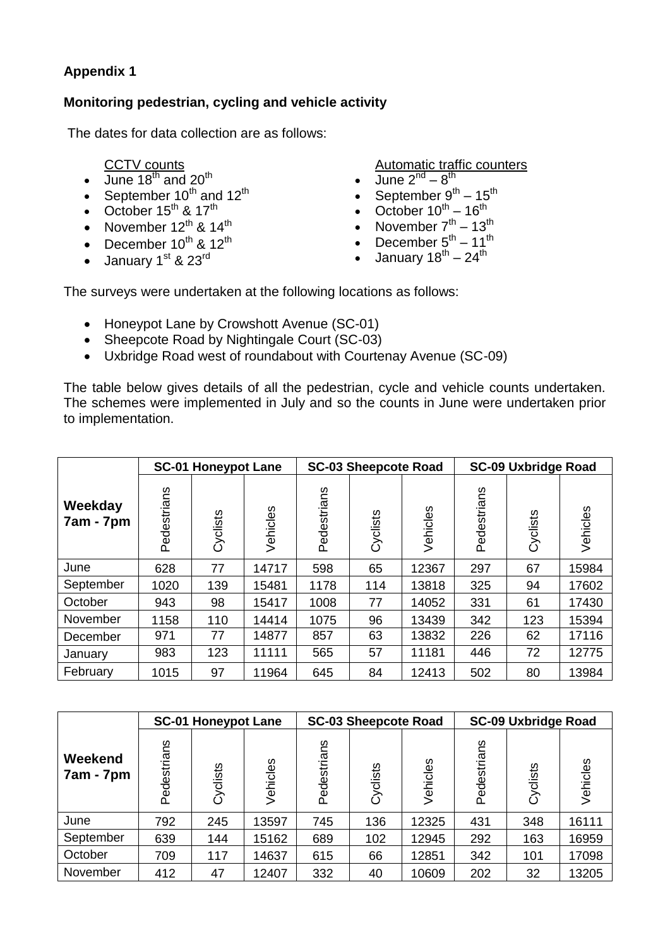## **Appendix 1**

## **Monitoring pedestrian, cycling and vehicle activity**

The dates for data collection are as follows:

## CCTV counts

- $\bullet$  June 18<sup>th</sup> and 20<sup>th</sup>
- September 10<sup>th</sup> and 12<sup>th</sup>
- October  $15^{th}$  &  $17^{th}$
- November  $12^{th}$  &  $14^{th}$
- December  $10^{th}$  &  $12^{th}$
- $\bullet$  January 1<sup>st</sup> & 23<sup>rd</sup>

Automatic traffic counters

- $\bullet$  June  $2^{nd} 8^{th}$
- September  $9^{th}$  15<sup>th</sup>
- October  $10^{th} 16^{th}$
- November  $7<sup>th</sup> 13<sup>th</sup>$
- December  $5^{\text{th}} 11^{\text{th}}$
- January 18<sup>th</sup> 24<sup>th</sup>

The surveys were undertaken at the following locations as follows:

- Honeypot Lane by Crowshott Avenue (SC-01)
- Sheepcote Road by Nightingale Court (SC-03)
- Uxbridge Road west of roundabout with Courtenay Avenue (SC-09)

The table below gives details of all the pedestrian, cycle and vehicle counts undertaken. The schemes were implemented in July and so the counts in June were undertaken prior to implementation.

|                      | <b>SC-01 Honeypot Lane</b> |          |          |             | <b>SC-03 Sheepcote Road</b> |          | <b>SC-09 Uxbridge Road</b> |          |          |  |
|----------------------|----------------------------|----------|----------|-------------|-----------------------------|----------|----------------------------|----------|----------|--|
| Weekday<br>7am - 7pm | Pedestrians                | Cyclists | Vehicles | Pedestrians | Cyclists                    | Vehicles | Pedestrians                | Cyclists | Vehicles |  |
| June                 | 628                        | 77       | 14717    | 598         | 65                          | 12367    | 297                        | 67       | 15984    |  |
| September            | 1020                       | 139      | 15481    | 1178        | 114                         | 13818    | 325                        | 94       | 17602    |  |
| October              | 943                        | 98       | 15417    | 1008        | 77                          | 14052    | 331                        | 61       | 17430    |  |
| November             | 1158                       | 110      | 14414    | 1075        | 96                          | 13439    | 342                        | 123      | 15394    |  |
| December             | 971                        | 77       | 14877    | 857         | 63                          | 13832    | 226                        | 62       | 17116    |  |
| January              | 983                        | 123      | 11111    | 565         | 57                          | 11181    | 446                        | 72       | 12775    |  |
| February             | 1015                       | 97       | 11964    | 645         | 84                          | 12413    | 502                        | 80       | 13984    |  |

|                      | <b>SC-01 Honeypot Lane</b> |          |          |             | <b>SC-03 Sheepcote Road</b> |          | <b>SC-09 Uxbridge Road</b> |          |          |  |
|----------------------|----------------------------|----------|----------|-------------|-----------------------------|----------|----------------------------|----------|----------|--|
| Weekend<br>7am - 7pm | Pedestrians                | Cyclists | Vehicles | Pedestrians | Cyclists                    | Vehicles | ςΟ<br>Pedestria            | Cyclists | /ehicles |  |
| June                 | 792                        | 245      | 13597    | 745         | 136                         | 12325    | 431                        | 348      | 16111    |  |
| September            | 639                        | 144      | 15162    | 689         | 102                         | 12945    | 292                        | 163      | 16959    |  |
| October              | 709                        | 117      | 14637    | 615         | 66                          | 12851    | 342                        | 101      | 17098    |  |
| November             | 412                        | 47       | 12407    | 332         | 40                          | 10609    | 202                        | 32       | 13205    |  |